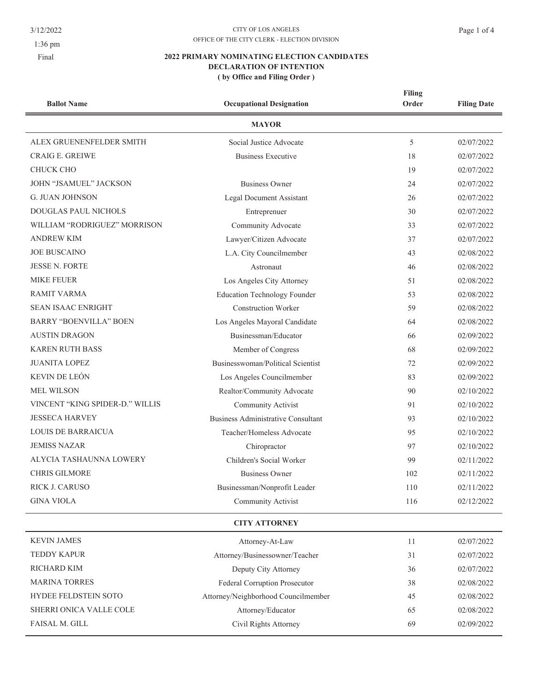3/12/2022

1:36 pm

Final

## $\text{CITY}$  OF LOS ANGELES OFFICE OF THE CITY CLERK - ELECTION DIVISION

| <b>Ballot Name</b>              | <b>Occupational Designation</b>           | <b>Filing</b><br>Order | <b>Filing Date</b> |  |  |
|---------------------------------|-------------------------------------------|------------------------|--------------------|--|--|
| <b>MAYOR</b>                    |                                           |                        |                    |  |  |
| ALEX GRUENENFELDER SMITH        | Social Justice Advocate                   | 5                      | 02/07/2022         |  |  |
| <b>CRAIG E. GREIWE</b>          | <b>Business Executive</b>                 | 18                     | 02/07/2022         |  |  |
| <b>CHUCK CHO</b>                |                                           | 19                     | 02/07/2022         |  |  |
| JOHN "JSAMUEL" JACKSON          | <b>Business Owner</b>                     | 24                     | 02/07/2022         |  |  |
| <b>G. JUAN JOHNSON</b>          | <b>Legal Document Assistant</b>           | 26                     | 02/07/2022         |  |  |
| <b>DOUGLAS PAUL NICHOLS</b>     | Entreprenuer                              | 30                     | 02/07/2022         |  |  |
| WILLIAM "RODRIGUEZ" MORRISON    | Community Advocate                        | 33                     | 02/07/2022         |  |  |
| <b>ANDREW KIM</b>               | Lawyer/Citizen Advocate                   | 37                     | 02/07/2022         |  |  |
| <b>JOE BUSCAINO</b>             | L.A. City Councilmember                   | 43                     | 02/08/2022         |  |  |
| <b>JESSE N. FORTE</b>           | Astronaut                                 | 46                     | 02/08/2022         |  |  |
| <b>MIKE FEUER</b>               | Los Angeles City Attorney                 | 51                     | 02/08/2022         |  |  |
| <b>RAMIT VARMA</b>              | <b>Education Technology Founder</b>       | 53                     | 02/08/2022         |  |  |
| <b>SEAN ISAAC ENRIGHT</b>       | <b>Construction Worker</b>                | 59                     | 02/08/2022         |  |  |
| <b>BARRY "BOENVILLA" BOEN</b>   | Los Angeles Mayoral Candidate             | 64                     | 02/08/2022         |  |  |
| <b>AUSTIN DRAGON</b>            | Businessman/Educator                      | 66                     | 02/09/2022         |  |  |
| <b>KAREN RUTH BASS</b>          | Member of Congress                        | 68                     | 02/09/2022         |  |  |
| <b>JUANITA LOPEZ</b>            | Businesswoman/Political Scientist         | 72                     | 02/09/2022         |  |  |
| KEVIN DE LEÓN                   | Los Angeles Councilmember                 | 83                     | 02/09/2022         |  |  |
| <b>MEL WILSON</b>               | Realtor/Community Advocate                | 90                     | 02/10/2022         |  |  |
| VINCENT "KING SPIDER-D." WILLIS | <b>Community Activist</b>                 | 91                     | 02/10/2022         |  |  |
| <b>JESSECA HARVEY</b>           | <b>Business Administrative Consultant</b> | 93                     | 02/10/2022         |  |  |
| <b>LOUIS DE BARRAICUA</b>       | Teacher/Homeless Advocate                 | 95                     | 02/10/2022         |  |  |
| <b>JEMISS NAZAR</b>             | Chiropractor                              | 97                     | 02/10/2022         |  |  |
| ALYCIA TASHAUNNA LOWERY         | Children's Social Worker                  | 99                     | 02/11/2022         |  |  |
| <b>CHRIS GILMORE</b>            | <b>Business Owner</b>                     | 102                    | 02/11/2022         |  |  |
| RICK J. CARUSO                  | Businessman/Nonprofit Leader              | 110                    | 02/11/2022         |  |  |
| <b>GINA VIOLA</b>               | Community Activist                        | 116                    | 02/12/2022         |  |  |
| <b>CITY ATTORNEY</b>            |                                           |                        |                    |  |  |
| <b>KEVIN JAMES</b>              | Attorney-At-Law                           | 11                     | 02/07/2022         |  |  |
| <b>TEDDY KAPUR</b>              | Attorney/Businessowner/Teacher            | 31                     | 02/07/2022         |  |  |
| RICHARD KIM                     | Deputy City Attorney                      | 36                     | 02/07/2022         |  |  |
| <b>MARINA TORRES</b>            | Federal Corruption Prosecutor             | 38                     | 02/08/2022         |  |  |
| HYDEE FELDSTEIN SOTO            | Attorney/Neighborhood Councilmember       | 45                     | 02/08/2022         |  |  |
| SHERRI ONICA VALLE COLE         | Attorney/Educator                         | 65                     | 02/08/2022         |  |  |
| FAISAL M. GILL                  | Civil Rights Attorney                     | 69                     | 02/09/2022         |  |  |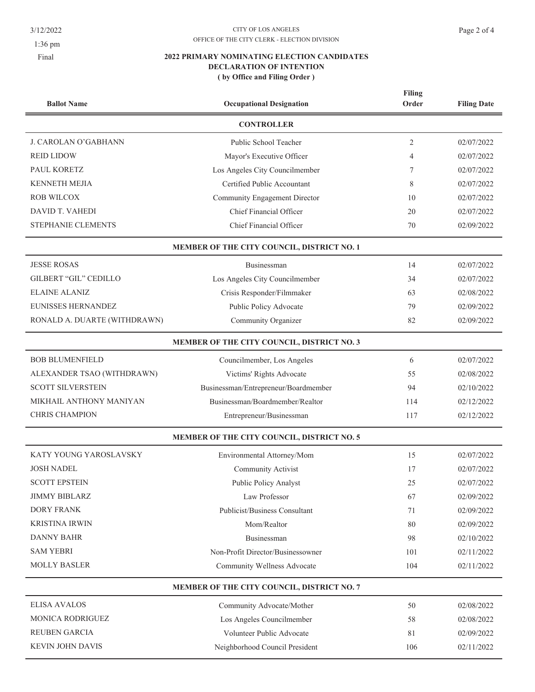$3/12/2022$ 

1:36 pm

Final

## $\text{CITY}$  OF LOS ANGELES OFFICE OF THE CITY CLERK - ELECTION DIVISION

|                              |                                            | Filing         |                    |
|------------------------------|--------------------------------------------|----------------|--------------------|
| <b>Ballot Name</b>           | <b>Occupational Designation</b>            | Order          | <b>Filing Date</b> |
|                              | <b>CONTROLLER</b>                          |                |                    |
| J. CAROLAN O'GABHANN         | Public School Teacher                      | $\overline{2}$ | 02/07/2022         |
| <b>REID LIDOW</b>            | Mayor's Executive Officer                  | 4              | 02/07/2022         |
| PAUL KORETZ                  | Los Angeles City Councilmember             | 7              | 02/07/2022         |
| <b>KENNETH MEJIA</b>         | Certified Public Accountant                | 8              | 02/07/2022         |
| <b>ROB WILCOX</b>            | Community Engagement Director              | 10             | 02/07/2022         |
| DAVID T. VAHEDI              | Chief Financial Officer                    | 20             | 02/07/2022         |
| STEPHANIE CLEMENTS           | Chief Financial Officer                    | 70             | 02/09/2022         |
|                              | MEMBER OF THE CITY COUNCIL, DISTRICT NO. 1 |                |                    |
| <b>JESSE ROSAS</b>           | Businessman                                | 14             | 02/07/2022         |
| <b>GILBERT "GIL" CEDILLO</b> | Los Angeles City Councilmember             | 34             | 02/07/2022         |
| <b>ELAINE ALANIZ</b>         | Crisis Responder/Filmmaker                 | 63             | 02/08/2022         |
| <b>EUNISSES HERNANDEZ</b>    | Public Policy Advocate                     | 79             | 02/09/2022         |
| RONALD A. DUARTE (WITHDRAWN) | Community Organizer                        | 82             | 02/09/2022         |
|                              | MEMBER OF THE CITY COUNCIL, DISTRICT NO. 3 |                |                    |
| <b>BOB BLUMENFIELD</b>       | Councilmember, Los Angeles                 | 6              | 02/07/2022         |
| ALEXANDER TSAO (WITHDRAWN)   | Victims' Rights Advocate                   | 55             | 02/08/2022         |
| <b>SCOTT SILVERSTEIN</b>     | Businessman/Entrepreneur/Boardmember       | 94             | 02/10/2022         |
| MIKHAIL ANTHONY MANIYAN      | Businessman/Boardmember/Realtor            | 114            | 02/12/2022         |
| <b>CHRIS CHAMPION</b>        | Entrepreneur/Businessman                   | 117            | 02/12/2022         |
|                              | MEMBER OF THE CITY COUNCIL, DISTRICT NO. 5 |                |                    |
| KATY YOUNG YAROSLAVSKY       | Environmental Attorney/Mom                 | 15             | 02/07/2022         |
| <b>JOSH NADEL</b>            | Community Activist                         | 17             | 02/07/2022         |
| <b>SCOTT EPSTEIN</b>         | Public Policy Analyst                      | 25             | 02/07/2022         |
| <b>JIMMY BIBLARZ</b>         | Law Professor                              | 67             | 02/09/2022         |
| <b>DORY FRANK</b>            | Publicist/Business Consultant              | 71             | 02/09/2022         |
| <b>KRISTINA IRWIN</b>        | Mom/Realtor                                | 80             | 02/09/2022         |
| <b>DANNY BAHR</b>            | Businessman                                | 98             | 02/10/2022         |
| <b>SAM YEBRI</b>             | Non-Profit Director/Businessowner          | 101            | 02/11/2022         |
| <b>MOLLY BASLER</b>          | Community Wellness Advocate                | 104            | 02/11/2022         |
|                              | MEMBER OF THE CITY COUNCIL, DISTRICT NO. 7 |                |                    |
| <b>ELISA AVALOS</b>          | Community Advocate/Mother                  | 50             | 02/08/2022         |
| MONICA RODRIGUEZ             | Los Angeles Councilmember                  | 58             | 02/08/2022         |
| <b>REUBEN GARCIA</b>         | Volunteer Public Advocate                  | 81             | 02/09/2022         |
| KEVIN JOHN DAVIS             | Neighborhood Council President             | 106            | 02/11/2022         |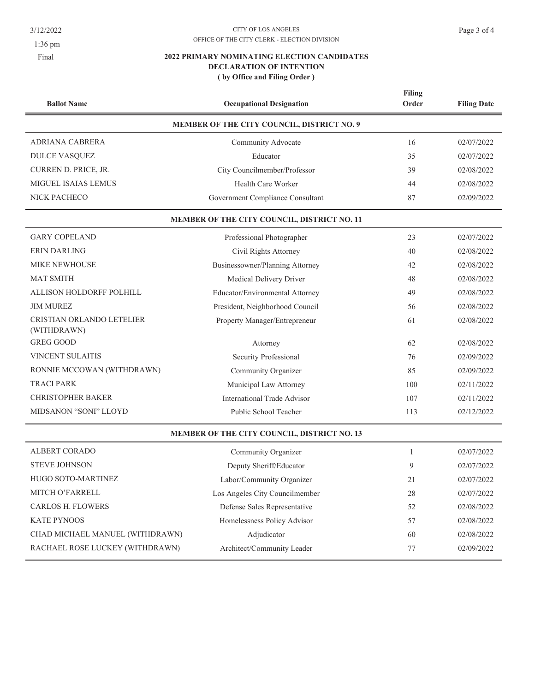3/12/2022

1:36 pm

Final

## $\text{CITY}$  OF LOS ANGELES OFFICE OF THE CITY CLERK - ELECTION DIVISION

| <b>Ballot Name</b>                       | <b>Occupational Designation</b>             | <b>Filing</b><br>Order | <b>Filing Date</b> |
|------------------------------------------|---------------------------------------------|------------------------|--------------------|
|                                          | MEMBER OF THE CITY COUNCIL, DISTRICT NO. 9  |                        |                    |
| ADRIANA CABRERA                          | Community Advocate                          | 16                     | 02/07/2022         |
| DULCE VASQUEZ                            | Educator                                    | 35                     | 02/07/2022         |
| CURREN D. PRICE, JR.                     | City Councilmember/Professor                | 39                     | 02/08/2022         |
| MIGUEL ISAIAS LEMUS                      | Health Care Worker                          | 44                     | 02/08/2022         |
| NICK PACHECO                             | Government Compliance Consultant            | 87                     | 02/09/2022         |
|                                          | MEMBER OF THE CITY COUNCIL, DISTRICT NO. 11 |                        |                    |
| <b>GARY COPELAND</b>                     | Professional Photographer                   | 23                     | 02/07/2022         |
| <b>ERIN DARLING</b>                      | Civil Rights Attorney                       | 40                     | 02/08/2022         |
| <b>MIKE NEWHOUSE</b>                     | Businessowner/Planning Attorney             | 42                     | 02/08/2022         |
| <b>MAT SMITH</b>                         | Medical Delivery Driver                     | 48                     | 02/08/2022         |
| ALLISON HOLDORFF POLHILL                 | Educator/Environmental Attorney             | 49                     | 02/08/2022         |
| <b>JIM MUREZ</b>                         | President, Neighborhood Council             | 56                     | 02/08/2022         |
| CRISTIAN ORLANDO LETELIER<br>(WITHDRAWN) | Property Manager/Entrepreneur               | 61                     | 02/08/2022         |
| <b>GREG GOOD</b>                         | Attorney                                    | 62                     | 02/08/2022         |
| <b>VINCENT SULAITIS</b>                  | Security Professional                       | 76                     | 02/09/2022         |
| RONNIE MCCOWAN (WITHDRAWN)               | Community Organizer                         | 85                     | 02/09/2022         |
| <b>TRACI PARK</b>                        | Municipal Law Attorney                      | 100                    | 02/11/2022         |
| <b>CHRISTOPHER BAKER</b>                 | <b>International Trade Advisor</b>          | 107                    | 02/11/2022         |
| MIDSANON "SONI" LLOYD                    | Public School Teacher                       | 113                    | 02/12/2022         |
|                                          | MEMBER OF THE CITY COUNCIL, DISTRICT NO. 13 |                        |                    |
| <b>ALBERT CORADO</b>                     | Community Organizer                         | 1                      | 02/07/2022         |
| <b>STEVE JOHNSON</b>                     | Deputy Sheriff/Educator                     | 9                      | 02/07/2022         |
| HUGO SOTO-MARTINEZ                       | Labor/Community Organizer                   | 21                     | 02/07/2022         |
| MITCH O'FARRELL                          | Los Angeles City Councilmember              | 28                     | 02/07/2022         |
| <b>CARLOS H. FLOWERS</b>                 | Defense Sales Representative                | 52                     | 02/08/2022         |
| <b>KATE PYNOOS</b>                       | Homelessness Policy Advisor                 | 57                     | 02/08/2022         |
| CHAD MICHAEL MANUEL (WITHDRAWN)          | Adjudicator                                 | 60                     | 02/08/2022         |
| RACHAEL ROSE LUCKEY (WITHDRAWN)          | Architect/Community Leader                  | 77                     | 02/09/2022         |
|                                          |                                             |                        |                    |